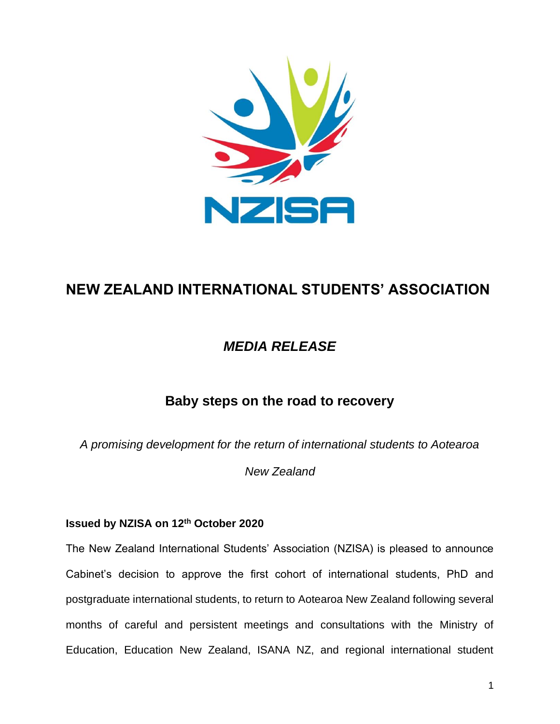

## **NEW ZEALAND INTERNATIONAL STUDENTS' ASSOCIATION**

## *MEDIA RELEASE*

## **Baby steps on the road to recovery**

*A promising development for the return of international students to Aotearoa* 

*New Zealand*

## **Issued by NZISA on 12th October 2020**

The New Zealand International Students' Association (NZISA) is pleased to announce Cabinet's decision to approve the first cohort of international students, PhD and postgraduate international students, to return to Aotearoa New Zealand following several months of careful and persistent meetings and consultations with the Ministry of Education, Education New Zealand, ISANA NZ, and regional international student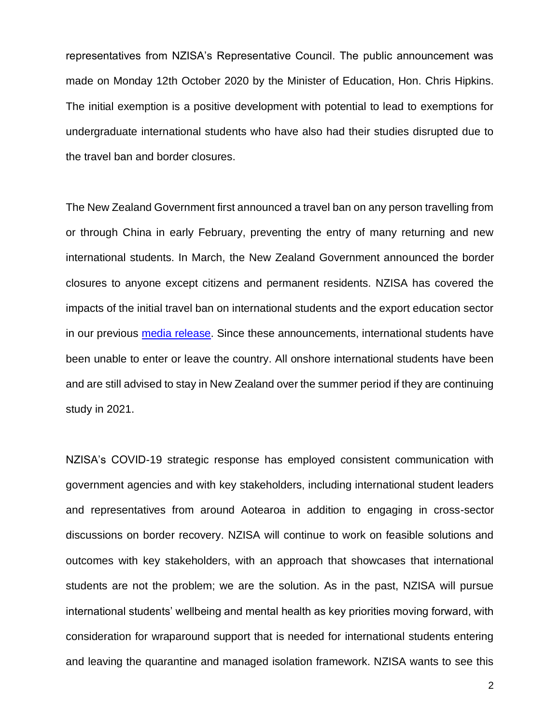representatives from NZISA's Representative Council. The public announcement was made on Monday 12th October 2020 by the Minister of Education, Hon. Chris Hipkins. The initial exemption is a positive development with potential to lead to exemptions for undergraduate international students who have also had their studies disrupted due to the travel ban and border closures.

The New Zealand Government first announced a travel ban on any person travelling from or through China in early February, preventing the entry of many returning and new international students. In March, the New Zealand Government announced the border closures to anyone except citizens and permanent residents. NZISA has covered the impacts of the initial travel ban on international students and the export education sector in our previous [media release.](https://nzisa.co.nz/2020/02/03/coronavirus-governments-hasty-travel-ban-causes-international-education-crisis/) Since these announcements, international students have been unable to enter or leave the country. All onshore international students have been and are still advised to stay in New Zealand over the summer period if they are continuing study in 2021.

NZISA's COVID-19 strategic response has employed consistent communication with government agencies and with key stakeholders, including international student leaders and representatives from around Aotearoa in addition to engaging in cross-sector discussions on border recovery. NZISA will continue to work on feasible solutions and outcomes with key stakeholders, with an approach that showcases that international students are not the problem; we are the solution. As in the past, NZISA will pursue international students' wellbeing and mental health as key priorities moving forward, with consideration for wraparound support that is needed for international students entering and leaving the quarantine and managed isolation framework. NZISA wants to see this

2